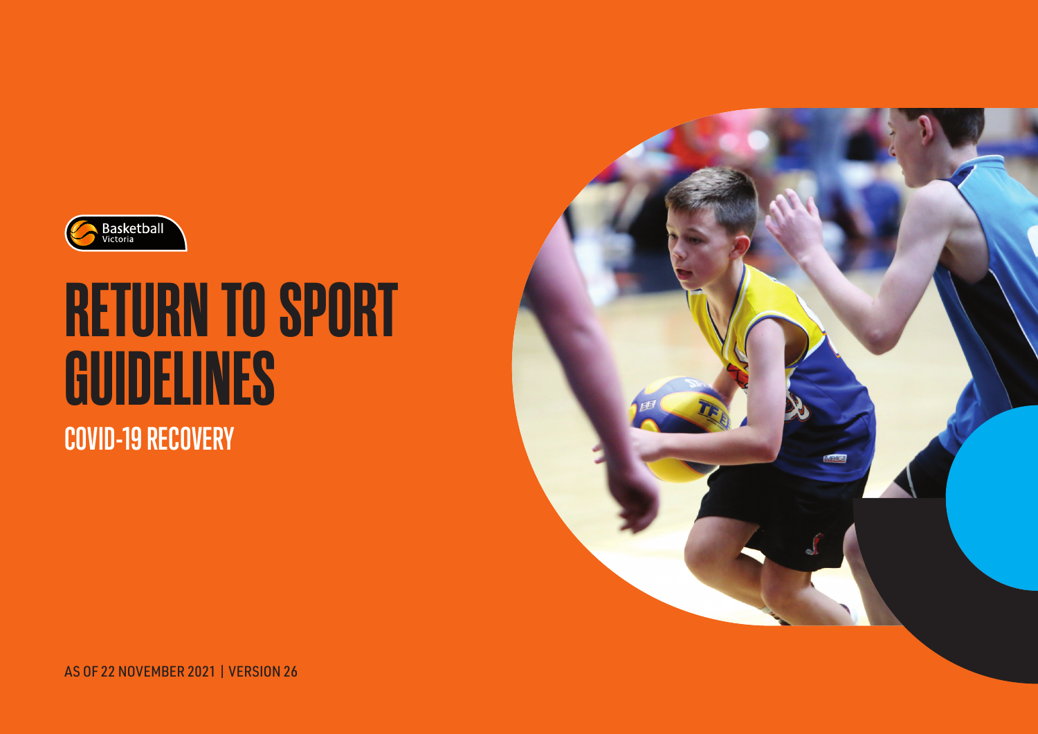

# **COVID-19 RECOVERY RETURN TO SPORT GUIDELINES**



AS OF 22 NOVEMBER 2021 | VERSION 26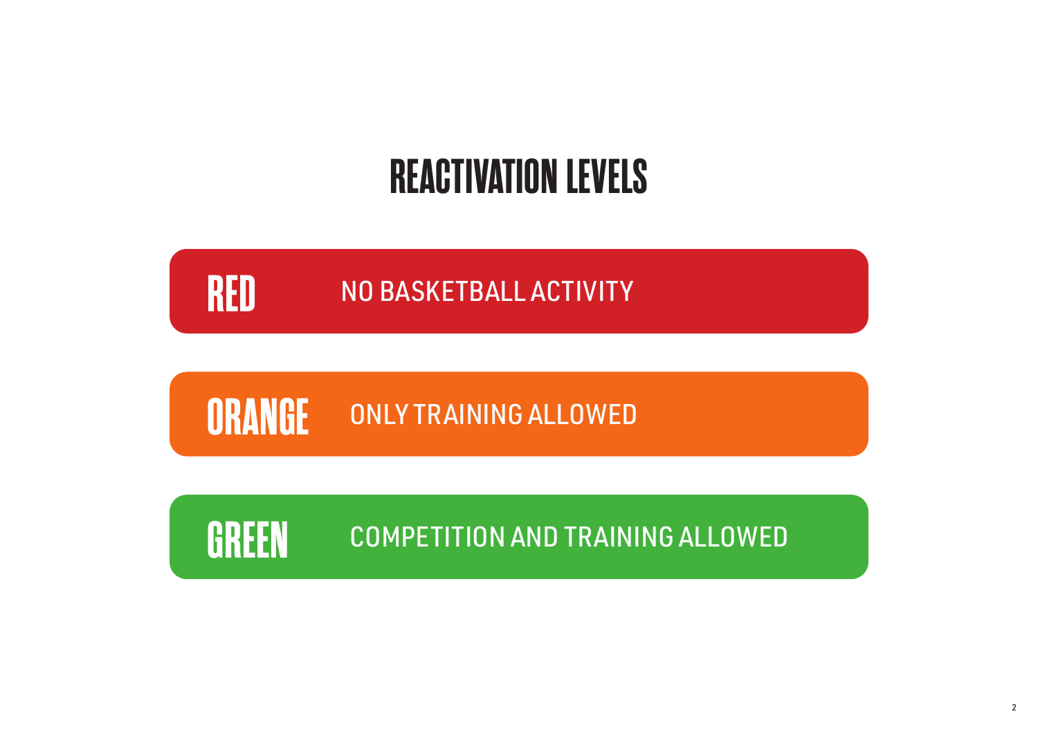## **REACTIVATION LEVELS**

#### **RED** NO BASKETBALL ACTIVITY

### **ORANGE** ONLY TRAINING ALLOWED

GREEN COMPETITION AND TRAINING ALLOWED